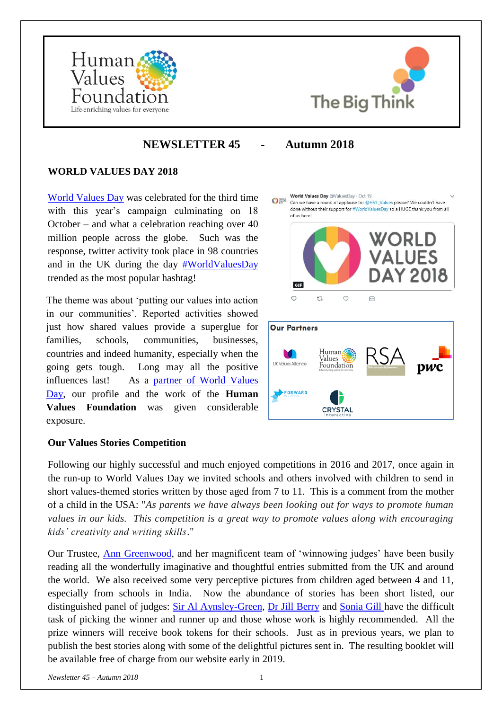



# **NEWSLETTER 45 - Autumn 2018**

## **WORLD VALUES DAY 2018**

[World Values Day](https://www.worldvaluesday.com/) was celebrated for the third time with this year's campaign culminating on 18 October – and what a celebration reaching over 40 million people across the globe. Such was the response, twitter activity took place in 98 countries and in the UK during the day [#WorldValuesDay](https://twitter.com/hashtag/WorldValuesDay?src=hash) trended as the most popular hashtag!

The theme was about 'putting our values into action in our communities'. Reported activities showed just how shared values provide a superglue for families, schools, communities, businesses, countries and indeed humanity, especially when the going gets tough. Long may all the positive influences last! As a [partner of World Values](https://www.worldvaluesday.com/partners-and-supporters/)  [Day,](https://www.worldvaluesday.com/partners-and-supporters/) our profile and the work of the **Human Values Foundation** was given considerable exposure.

#### **Our Values Stories Competition**

Following our highly successful and much enjoyed competitions in 2016 and 2017, once again in the run-up to World Values Day we invited schools and others involved with children to send in short values-themed stories written by those aged from 7 to 11. This is a comment from the mother of a child in the USA: "*As parents we have always been looking out for ways to promote human values in our kids. This competition is a great way to promote values along with encouraging kids' creativity and writing skills*."

Our Trustee, [Ann Greenwood,](https://www.therainbowtreewales.co.uk/) and her magnificent team of 'winnowing judges' have been busily reading all the wonderfully imaginative and thoughtful entries submitted from the UK and around the world. We also received some very perceptive pictures from children aged between 4 and 11, especially from schools in India. Now the abundance of stories has been short listed, our distinguished panel of judges: [Sir Al Aynsley-Green,](https://www.aynsley-green.com/) [Dr Jill Berry](https://twitter.com/jillberry102) and [Sonia Gill](https://ukheadsup.com/) have the difficult task of picking the winner and runner up and those whose work is highly recommended. All the prize winners will receive book tokens for their schools. Just as in previous years, we plan to publish the best stories along with some of the delightful pictures sent in. The resulting booklet will be available free of charge from our website early in 2019.

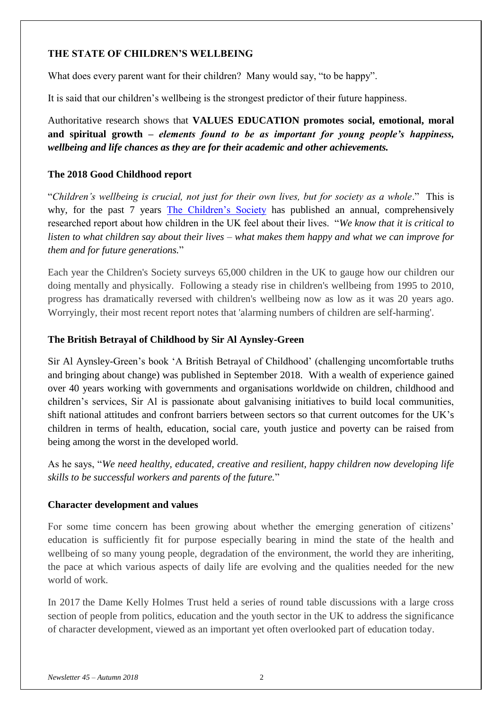## **THE STATE OF CHILDREN'S WELLBEING**

What does every parent want for their children? Many would say, "to be happy".

It is said that our children's wellbeing is the strongest predictor of their future happiness.

Authoritative research shows that **VALUES EDUCATION promotes social, emotional, moral and spiritual growth** *– elements found to be as important for young people's happiness, wellbeing and life chances as they are for their academic and other achievements.*

## **The 2018 Good Childhood report**

"*Children's wellbeing is crucial, not just for their own lives, but for society as a whole*." This is why, for the past 7 years [The Children's Society](https://www.childrenssociety.org.uk/what-we-do/resources-and-publications/the-good-childhood-report-2018) has published an annual, comprehensively researched report about how children in the UK feel about their lives. "*We know that it is critical to listen to what children say about their lives – what makes them happy and what we can improve for them and for future generations.*"

Each year the Children's Society surveys 65,000 children in the UK to gauge how our children our doing mentally and physically. Following a steady rise in children's wellbeing from 1995 to 2010, progress has dramatically reversed with children's wellbeing now as low as it was 20 years ago. Worryingly, their most recent report notes that 'alarming numbers of children are self-harming'.

## **The British Betrayal of Childhood by Sir Al Aynsley-Green**

Sir Al Aynsley-Green's book 'A British Betrayal of Childhood' (challenging uncomfortable truths and bringing about change) was published in September 2018. With a wealth of experience gained over 40 years working with governments and organisations worldwide on children, childhood and children's services, Sir Al is passionate about galvanising initiatives to build local communities, shift national attitudes and confront barriers between sectors so that current outcomes for the UK's children in terms of health, education, social care, youth justice and poverty can be raised from being among the worst in the developed world.

As he says, "*We need healthy, educated, creative and resilient, happy children now developing life skills to be successful workers and parents of the future.*"

#### **Character development and values**

For some time concern has been growing about whether the emerging generation of citizens' education is sufficiently fit for purpose especially bearing in mind the state of the health and wellbeing of so many young people, degradation of the environment, the world they are inheriting, the pace at which various aspects of daily life are evolving and the qualities needed for the new world of work.

In 2017 the Dame Kelly Holmes Trust held a series of round table discussions with a large cross section of people from politics, education and the youth sector in the UK to address the significance of character development, viewed as an important yet often overlooked part of education today.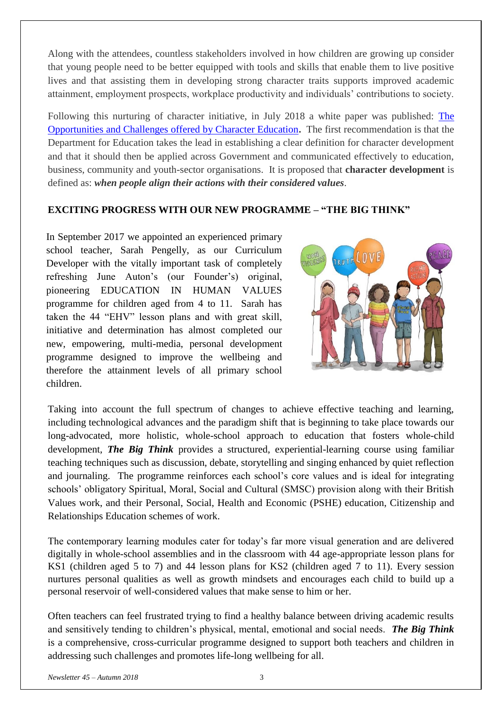Along with the attendees, countless stakeholders involved in how children are growing up consider that young people need to be better equipped with tools and skills that enable them to live positive lives and that assisting them in developing strong character traits supports improved academic attainment, employment prospects, workplace productivity and individuals' contributions to society.

Following this nurturing of character initiative, in July 2018 a white paper was published: [The](https://www.damekellyholmestrust.org/whitepaper)  [Opportunities and Challenges offered by Character Education](https://www.damekellyholmestrust.org/whitepaper)**.** The first recommendation is that the Department for Education takes the lead in establishing a clear definition for character development and that it should then be applied across Government and communicated effectively to education, business, community and youth-sector organisations. It is proposed that **character development** is defined as: *when people align their actions with their considered values*.

## **EXCITING PROGRESS WITH OUR NEW PROGRAMME – "THE BIG THINK"**

In September 2017 we appointed an experienced primary school teacher, Sarah Pengelly, as our Curriculum Developer with the vitally important task of completely refreshing June Auton's (our Founder's) original, pioneering EDUCATION IN HUMAN VALUES programme for children aged from 4 to 11. Sarah has taken the 44 "EHV" lesson plans and with great skill, initiative and determination has almost completed our new, empowering, multi-media, personal development programme designed to improve the wellbeing and therefore the attainment levels of all primary school children.



Taking into account the full spectrum of changes to achieve effective teaching and learning, including technological advances and the paradigm shift that is beginning to take place towards our long-advocated, more holistic, whole-school approach to education that fosters whole-child development, *The Big Think* provides a structured, experiential-learning course using familiar teaching techniques such as discussion, debate, storytelling and singing enhanced by quiet reflection and journaling. The programme reinforces each school's core values and is ideal for integrating schools' obligatory Spiritual, Moral, Social and Cultural (SMSC) provision along with their British Values work, and their Personal, Social, Health and Economic (PSHE) education, Citizenship and Relationships Education schemes of work.

The contemporary learning modules cater for today's far more visual generation and are delivered digitally in whole-school assemblies and in the classroom with 44 age-appropriate lesson plans for KS1 (children aged 5 to 7) and 44 lesson plans for KS2 (children aged 7 to 11). Every session nurtures personal qualities as well as growth mindsets and encourages each child to build up a personal reservoir of well-considered values that make sense to him or her.

Often teachers can feel frustrated trying to find a healthy balance between driving academic results and sensitively tending to children's physical, mental, emotional and social needs. *The Big Think* is a comprehensive, cross-curricular programme designed to support both teachers and children in addressing such challenges and promotes life-long wellbeing for all.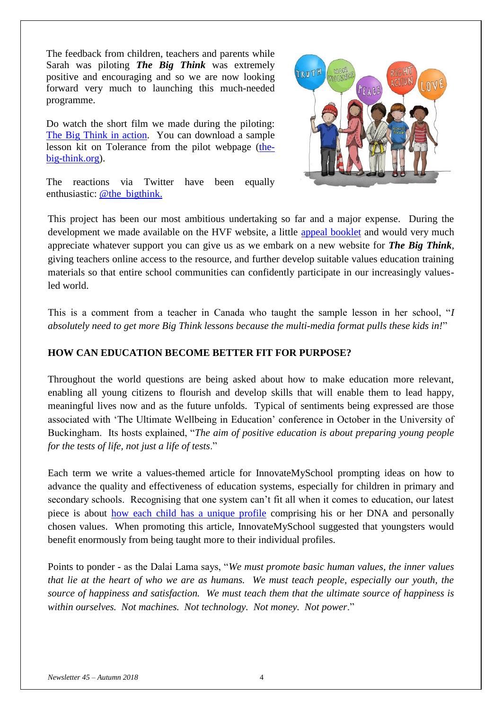The feedback from children, teachers and parents while Sarah was piloting *The Big Think* was extremely positive and encouraging and so we are now looking forward very much to launching this much-needed programme.

Do watch the short film we made during the piloting: [The Big Think in action.](https://youtu.be/8Jo5gExlViY) You can download a sample lesson kit on Tolerance from the pilot webpage [\(the](http://the-big-think.org/)[big-think.org\)](http://the-big-think.org/).

The reactions via Twitter have been equally enthusiastic: [@the\\_bigthink.](http://twitter.com/The_bigthink)



This project has been our most ambitious undertaking so far and a major expense. During the development we made available on the HVF website, a little [appeal booklet](http://www.humanvaluesfoundation.com/uploads/6/8/7/0/68703775/hvf-appeal_for_new_ehv_programme.pdf) and would very much appreciate whatever support you can give us as we embark on a new website for *The Big Think*, giving teachers online access to the resource, and further develop suitable values education training materials so that entire school communities can confidently participate in our increasingly valuesled world.

This is a comment from a teacher in Canada who taught the sample lesson in her school, "*I absolutely need to get more Big Think lessons because the multi-media format pulls these kids in!*"

## **HOW CAN EDUCATION BECOME BETTER FIT FOR PURPOSE?**

Throughout the world questions are being asked about how to make education more relevant, enabling all young citizens to flourish and develop skills that will enable them to lead happy, meaningful lives now and as the future unfolds. Typical of sentiments being expressed are those associated with 'The Ultimate Wellbeing in Education' conference in October in the University of Buckingham. Its hosts explained, "*The aim of positive education is about preparing young people for the tests of life, not just a life of tests*."

Each term we write a values-themed article for InnovateMySchool prompting ideas on how to advance the quality and effectiveness of education systems, especially for children in primary and secondary schools. Recognising that one system can't fit all when it comes to education, our latest piece is about [how each child has a unique profile](http://www.humanvaluesfoundation.com/uploads/6/8/7/0/68703775/hvf-dna_and_values-every_child_has_as_unique_profile.pdf) comprising his or her DNA and personally chosen values. When promoting this article, InnovateMySchool suggested that youngsters would benefit enormously from being taught more to their individual profiles.

Points to ponder - as the Dalai Lama says, "*We must promote basic human values, the inner values that lie at the heart of who we are as humans. We must teach people, especially our youth, the source of happiness and satisfaction. We must teach them that the ultimate source of happiness is within ourselves. Not machines. Not technology. Not money. Not power*."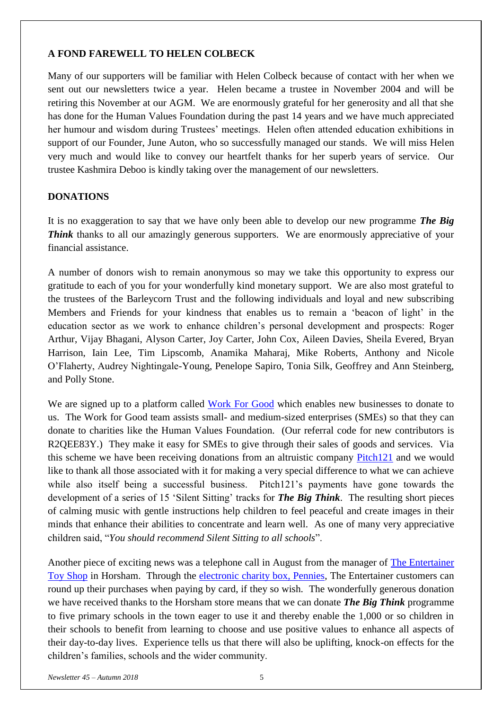### **A FOND FAREWELL TO HELEN COLBECK**

Many of our supporters will be familiar with Helen Colbeck because of contact with her when we sent out our newsletters twice a year. Helen became a trustee in November 2004 and will be retiring this November at our AGM. We are enormously grateful for her generosity and all that she has done for the Human Values Foundation during the past 14 years and we have much appreciated her humour and wisdom during Trustees' meetings. Helen often attended education exhibitions in support of our Founder, June Auton, who so successfully managed our stands. We will miss Helen very much and would like to convey our heartfelt thanks for her superb years of service. Our trustee Kashmira Deboo is kindly taking over the management of our newsletters.

#### **DONATIONS**

It is no exaggeration to say that we have only been able to develop our new programme *The Big Think* thanks to all our amazingly generous supporters. We are enormously appreciative of your financial assistance.

A number of donors wish to remain anonymous so may we take this opportunity to express our gratitude to each of you for your wonderfully kind monetary support. We are also most grateful to the trustees of the Barleycorn Trust and the following individuals and loyal and new subscribing Members and Friends for your kindness that enables us to remain a 'beacon of light' in the education sector as we work to enhance children's personal development and prospects: Roger Arthur, Vijay Bhagani, Alyson Carter, Joy Carter, John Cox, Aileen Davies, Sheila Evered, Bryan Harrison, Iain Lee, Tim Lipscomb, Anamika Maharaj, Mike Roberts, Anthony and Nicole O'Flaherty, Audrey Nightingale-Young, Penelope Sapiro, Tonia Silk, Geoffrey and Ann Steinberg, and Polly Stone.

We are signed up to a platform called [Work For Good](https://workforgood.co.uk/) which enables new businesses to donate to us. The Work for Good team assists small- and medium-sized enterprises (SMEs) so that they can donate to charities like the Human Values Foundation. (Our referral code for new contributors is R2QEE83Y.) They make it easy for SMEs to give through their sales of goods and services. Via this scheme we have been receiving donations from an altruistic company [Pitch121](https://www.pitch121.com/) and we would like to thank all those associated with it for making a very special difference to what we can achieve while also itself being a successful business. Pitch121's payments have gone towards the development of a series of 15 'Silent Sitting' tracks for *The Big Think*. The resulting short pieces of calming music with gentle instructions help children to feel peaceful and create images in their minds that enhance their abilities to concentrate and learn well. As one of many very appreciative children said, "*You should recommend Silent Sitting to all schools*".

Another piece of exciting news was a telephone call in August from the manager of [The Entertainer](https://www.thetoyshop.com/charity)  [Toy Shop](https://www.thetoyshop.com/charity) in Horsham. Through the [electronic charity box, Pennies,](https://pennies.org.uk/toy-shop-chain-the-entertainer-brings-pennies-to-the-high-street/) The Entertainer customers can round up their purchases when paying by card, if they so wish. The wonderfully generous donation we have received thanks to the Horsham store means that we can donate *The Big Think* programme to five primary schools in the town eager to use it and thereby enable the 1,000 or so children in their schools to benefit from learning to choose and use positive values to enhance all aspects of their day-to-day lives. Experience tells us that there will also be uplifting, knock-on effects for the children's families, schools and the wider community.